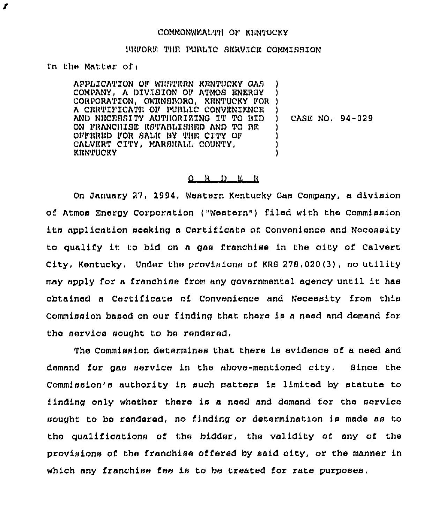## COMMONWEALTH OF KENTUCKY

## INGFORE THE PURLIC SERVICE COMMISSION

tn the Matter of <sup>i</sup>

I

APPLXCAT?ON OP WESTERN KENTUCKY QAS COMPANY, A DIVISION OF ATMOS ENERGY COMPANI, A DIVISION OF ATMOS ENERGI ( A CERTIFICATE OF PUBLIC CONVENIENCE AND NECEBBITY AUTHORIZING IT TO BID ON FRANCHISE ESTABLISHED AND TO BE OFFERED FOR BAL)f BY THE C1TY QF CALVERT CXTY, MARSHALL COUNTY, **KENTUCKY** ) ) ) ) CASE NO, 94-029 ) ) ) )

## $Q$  R  $D$  E R

On January 27, 1994, Western Kentucky Gas Company, a division of Atmos Energy Corporation ("Western" ) filed with the commission its application seeking a Certificate of Convenience and Necessity to qualify it to bid on <sup>a</sup> gas franchise in the city of Calvert City, Kentucky. Under the provisions of KRS 278,020(3), no utility may apply for a franchise from any governmental agency until it has obtained a Certificate of. Convenience snd Necessity from this Commission based on our finding that there is a need and demand for the service sought to be rendered.

The Commission determines that there is evidence of a need and demand for gas service in the above-mentioned city. Since the Commission's authority in such matters is limited by statute to finding only whether there is a need and demand for the service sought to be rendered, no finding or determination is made as to the qualifications of the bidder, the validity of any of the provisions of the franchise offered by said city, or the manner in which any franchise fee is to be treated for rate purposes.